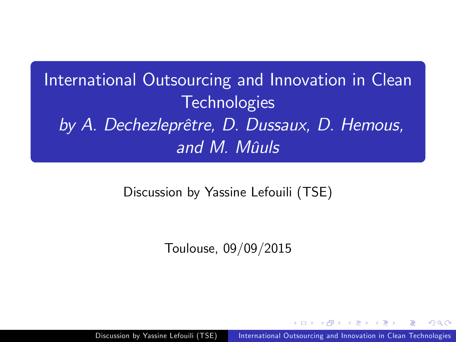International Outsourcing and Innovation in Clean **Technologies** by A. Dechezleprêtre, D. Dussaux, D. Hemous, and M. Mûuls

Discussion by Yassine Lefouili (TSE)

Toulouse, 09/09/2015

<span id="page-0-0"></span> $\Omega$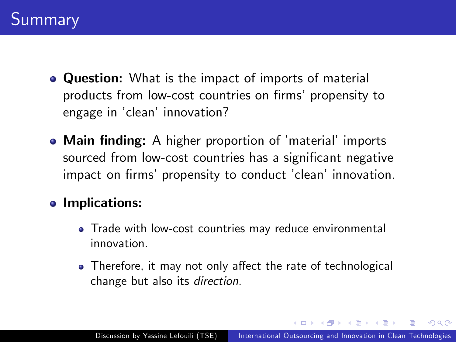- **Question:** What is the impact of imports of material products from low-cost countries on firms' propensity to engage in 'clean' innovation?
- Main finding: A higher proportion of 'material' imports sourced from low-cost countries has a significant negative impact on firms' propensity to conduct 'clean' innovation.

## **•** Implications:

- Trade with low-cost countries may reduce environmental innovation.
- Therefore, it may not only affect the rate of technological change but also its direction.

∢ 何 ▶ 《 手 》 《 手 》

 $\Omega$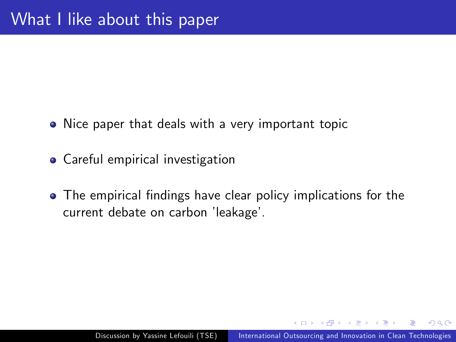- Nice paper that deals with a very important topic
- Careful empirical investigation
- The empirical findings have clear policy implications for the current debate on carbon 'leakage'.

つくい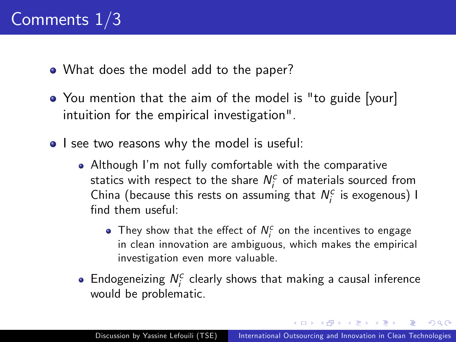- What does the model add to the paper?
- You mention that the aim of the model is "to guide [your] intuition for the empirical investigation".
- I see two reasons why the model is useful:
	- Although Iím not fully comfortable with the comparative statics with respect to the share  $N_i^c$  of materials sourced from China (because this rests on assuming that  $N_i^c$  is exogenous) I find them useful:
		- They show that the effect of  $N_i^c$  on the incentives to engage in clean innovation are ambiguous, which makes the empirical investigation even more valuable.
	- Endogeneizing  $N_i^c$  clearly shows that making a causal inference would be problematic.

メタトメミトメミト

 $200$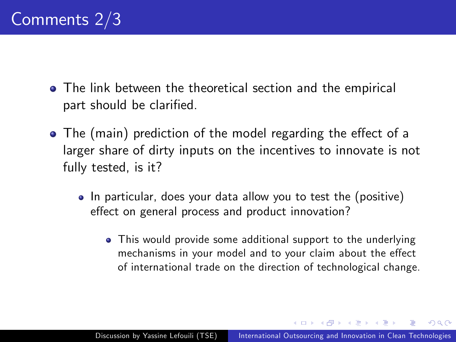- The link between the theoretical section and the empirical part should be clarified.
- $\bullet$  The (main) prediction of the model regarding the effect of a larger share of dirty inputs on the incentives to innovate is not fully tested, is it?
	- In particular, does your data allow you to test the (positive) effect on general process and product innovation?
		- This would provide some additional support to the underlying mechanisms in your model and to your claim about the effect of international trade on the direction of technological change.

∢ 何 ▶ 《 手 》 《 手 》

 $\Omega$